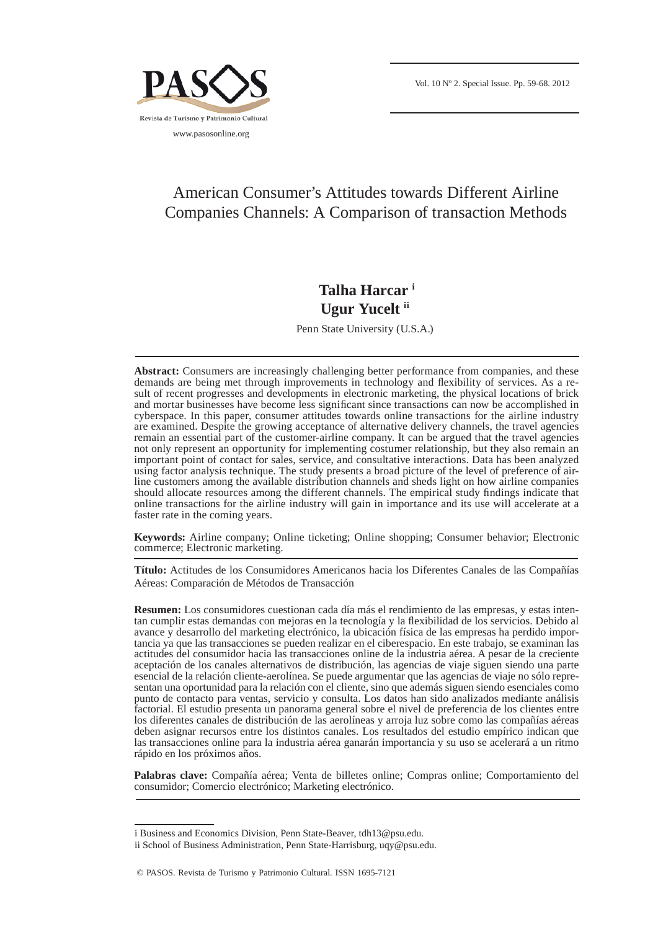

# American Consumer's Attitudes towards Different Airline Companies Channels: A Comparison of transaction Methods

## **Talha Harcar i Ugur Yucelt ii**

Penn State University (U.S.A.)

**Abstract:** Consumers are increasingly challenging better performance from companies, and these demands are being met through improvements in technology and flexibility of services. As a result of recent progresses and developments in electronic marketing, the physical locations of brick and mortar businesses have become less significant since transactions can now be accomplished in cyberspace. In this paper, consumer attitudes towards online transactions for the airline industry are examined. Despite the growing acceptance of alternative delivery channels, the travel agencies remain an essential part of the customer-airline company. It can be argued that the travel agencies not only represent an opportunity for implementing costumer relationship, but they also remain an important point of contact for sales, service, and consultative interactions. Data has been analyzed using factor analysis technique. The study presents a broad picture of the level of preference of airline customers among the available distribution channels and sheds light on how airline companies should allocate resources among the different channels. The empirical study findings indicate that online transactions for the airline industry will gain in importance and its use will accelerate at a faster rate in the coming years.

**Keywords:** Airline company; Online ticketing; Online shopping; Consumer behavior; Electronic commerce; Electronic marketing.

**Título:** Actitudes de los Consumidores Americanos hacia los Diferentes Canales de las Compañías Aéreas: Comparación de Métodos de Transacción

**Resumen:** Los consumidores cuestionan cada día más el rendimiento de las empresas, y estas intentan cumplir estas demandas con mejoras en la tecnología y la flexibilidad de los servicios. Debido al avance y desarrollo del marketing electrónico, la ubicación física de las empresas ha perdido importancia ya que las transacciones se pueden realizar en el ciberespacio. En este trabajo, se examinan las actitudes del consumidor hacia las transacciones online de la industria aérea. A pesar de la creciente aceptación de los canales alternativos de distribución, las agencias de viaje siguen siendo una parte esencial de la relación cliente-aerolínea. Se puede argumentar que las agencias de viaje no sólo representan una oportunidad para la relación con el cliente, sino que además siguen siendo esenciales como punto de contacto para ventas, servicio y consulta. Los datos han sido analizados mediante análisis factorial. El estudio presenta un panorama general sobre el nivel de preferencia de los clientes entre los diferentes canales de distribución de las aerolíneas y arroja luz sobre como las compañías aéreas deben asignar recursos entre los distintos canales. Los resultados del estudio empírico indican que las transacciones online para la industria aérea ganarán importancia y su uso se acelerará a un ritmo rápido en los próximos años.

**Palabras clave:** Compañía aérea; Venta de billetes online; Compras online; Comportamiento del consumidor; Comercio electrónico; Marketing electrónico.

i Business and Economics Division, Penn State-Beaver, tdh13@psu.edu.

ii School of Business Administration, Penn State-Harrisburg, uqy@psu.edu.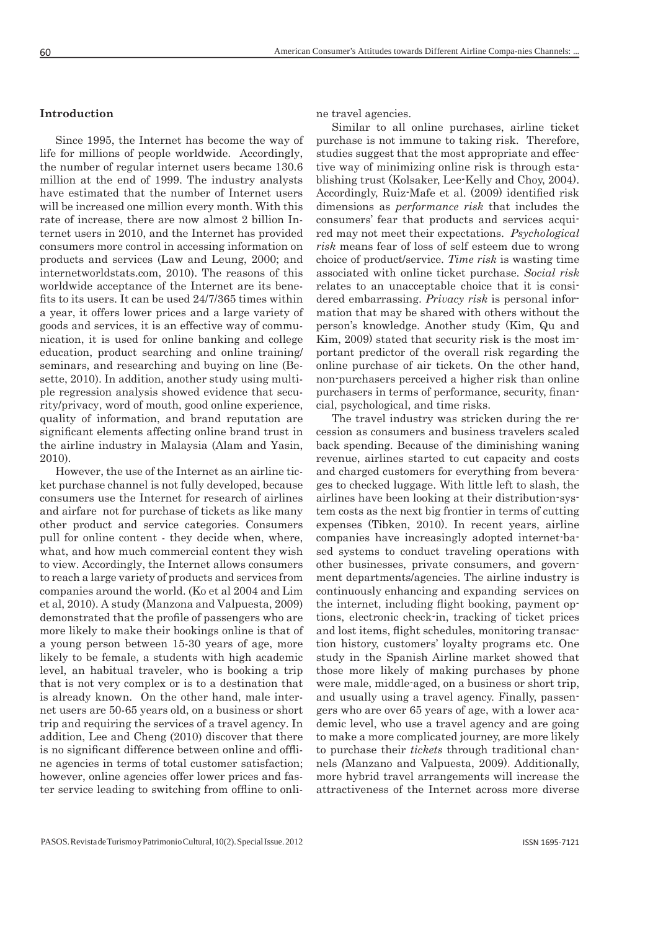#### **Introduction**

Since 1995, the Internet has become the way of life for millions of people worldwide. Accordingly, the number of regular internet users became 130.6 million at the end of 1999. The industry analysts have estimated that the number of Internet users will be increased one million every month. With this rate of increase, there are now almost 2 billion Internet users in 2010, and the Internet has provided consumers more control in accessing information on products and services (Law and Leung, 2000; and internetworldstats.com, 2010). The reasons of this worldwide acceptance of the Internet are its benefits to its users. It can be used  $24/7/365$  times within a year, it offers lower prices and a large variety of goods and services, it is an effective way of communication, it is used for online banking and college education, product searching and online training/ seminars, and researching and buying on line (Besette, 2010). In addition, another study using multiple regression analysis showed evidence that security/privacy, word of mouth, good online experience, quality of information, and brand reputation are significant elements affecting online brand trust in the airline industry in Malaysia (Alam and Yasin, 2010).

However, the use of the Internet as an airline ticket purchase channel is not fully developed, because consumers use the Internet for research of airlines and airfare not for purchase of tickets as like many other product and service categories. Consumers pull for online content - they decide when, where, what, and how much commercial content they wish to view. Accordingly, the Internet allows consumers to reach a large variety of products and services from companies around the world. (Ko et al 2004 and Lim et al, 2010). A study (Manzona and Valpuesta, 2009) demonstrated that the profile of passengers who are more likely to make their bookings online is that of a young person between 15-30 years of age, more likely to be female, a students with high academic level, an habitual traveler, who is booking a trip that is not very complex or is to a destination that is already known. On the other hand, male internet users are 50-65 years old, on a business or short trip and requiring the services of a travel agency. In addition, Lee and Cheng (2010) discover that there is no significant difference between online and offline agencies in terms of total customer satisfaction; however, online agencies offer lower prices and faster service leading to switching from offline to online travel agencies.

Similar to all online purchases, airline ticket purchase is not immune to taking risk. Therefore, studies suggest that the most appropriate and effective way of minimizing online risk is through establishing trust (Kolsaker, Lee-Kelly and Choy, 2004). Accordingly, Ruiz-Mafe et al. (2009) identified risk dimensions as *performance risk* that includes the consumers' fear that products and services acquired may not meet their expectations. *Psychological risk* means fear of loss of self esteem due to wrong choice of product/service. *Time risk* is wasting time associated with online ticket purchase. *Social risk* relates to an unacceptable choice that it is considered embarrassing. *Privacy risk* is personal information that may be shared with others without the person's knowledge. Another study (Kim, Qu and Kim, 2009) stated that security risk is the most important predictor of the overall risk regarding the online purchase of air tickets. On the other hand, non-purchasers perceived a higher risk than online purchasers in terms of performance, security, financial, psychological, and time risks.

The travel industry was stricken during the recession as consumers and business travelers scaled back spending. Because of the diminishing waning revenue, airlines started to cut capacity and costs and charged customers for everything from beverages to checked luggage. With little left to slash, the airlines have been looking at their distribution-system costs as the next big frontier in terms of cutting expenses (Tibken, 2010). In recent years, airline companies have increasingly adopted internet-based systems to conduct traveling operations with other businesses, private consumers, and government departments/agencies. The airline industry is continuously enhancing and expanding services on the internet, including flight booking, payment options, electronic check-in, tracking of ticket prices and lost items, flight schedules, monitoring transaction history, customers' loyalty programs etc. One study in the Spanish Airline market showed that those more likely of making purchases by phone were male, middle-aged, on a business or short trip, and usually using a travel agency. Finally, passengers who are over 65 years of age, with a lower academic level, who use a travel agency and are going to make a more complicated journey, are more likely to purchase their *tickets* through traditional channels *(*Manzano and Valpuesta, 2009). Additionally, more hybrid travel arrangements will increase the attractiveness of the Internet across more diverse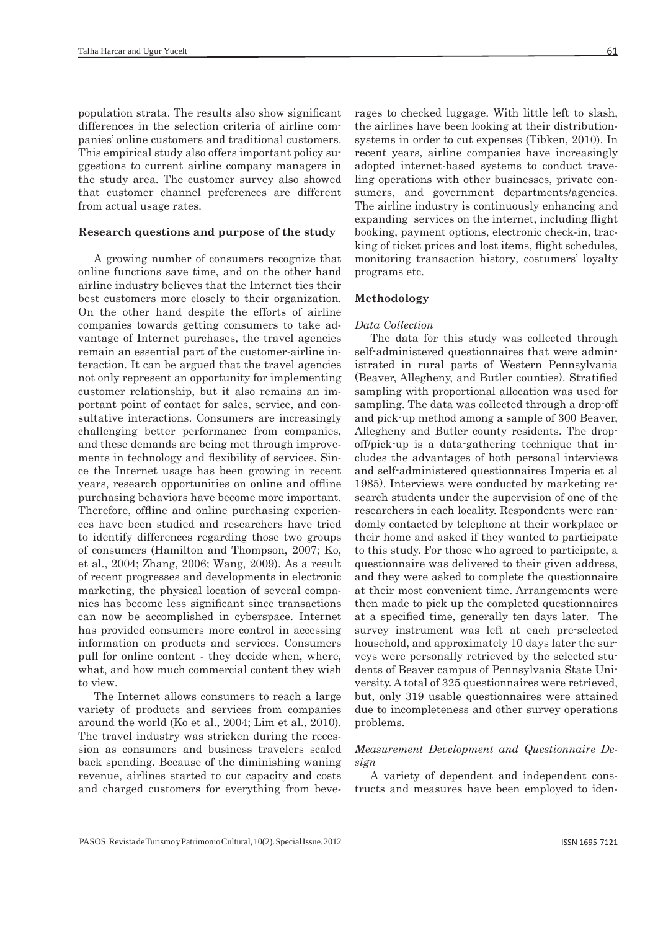population strata. The results also show significant differences in the selection criteria of airline companies' online customers and traditional customers. This empirical study also offers important policy suggestions to current airline company managers in the study area. The customer survey also showed that customer channel preferences are different from actual usage rates.

#### **Research questions and purpose of the study**

A growing number of consumers recognize that online functions save time, and on the other hand airline industry believes that the Internet ties their best customers more closely to their organization. On the other hand despite the efforts of airline companies towards getting consumers to take advantage of Internet purchases, the travel agencies remain an essential part of the customer-airline interaction. It can be argued that the travel agencies not only represent an opportunity for implementing customer relationship, but it also remains an important point of contact for sales, service, and consultative interactions. Consumers are increasingly challenging better performance from companies, and these demands are being met through improvements in technology and flexibility of services. Since the Internet usage has been growing in recent years, research opportunities on online and offline purchasing behaviors have become more important. Therefore, offline and online purchasing experiences have been studied and researchers have tried to identify differences regarding those two groups of consumers (Hamilton and Thompson, 2007; Ko, et al., 2004; Zhang, 2006; Wang, 2009). As a result of recent progresses and developments in electronic marketing, the physical location of several companies has become less significant since transactions can now be accomplished in cyberspace. Internet has provided consumers more control in accessing information on products and services. Consumers pull for online content - they decide when, where, what, and how much commercial content they wish to view.

The Internet allows consumers to reach a large variety of products and services from companies around the world (Ko et al., 2004; Lim et al., 2010). The travel industry was stricken during the recession as consumers and business travelers scaled back spending. Because of the diminishing waning revenue, airlines started to cut capacity and costs and charged customers for everything from beve-

rages to checked luggage. With little left to slash, the airlines have been looking at their distributionsystems in order to cut expenses (Tibken, 2010). In recent years, airline companies have increasingly adopted internet-based systems to conduct traveling operations with other businesses, private consumers, and government departments/agencies. The airline industry is continuously enhancing and expanding services on the internet, including flight booking, payment options, electronic check-in, tracking of ticket prices and lost items, flight schedules, monitoring transaction history, costumers' loyalty programs etc.

#### **Methodology**

#### *Data Collection*

The data for this study was collected through self-administered questionnaires that were administrated in rural parts of Western Pennsylvania (Beaver, Allegheny, and Butler counties). Stratified sampling with proportional allocation was used for sampling. The data was collected through a drop-off and pick-up method among a sample of 300 Beaver, Allegheny and Butler county residents. The dropoff/pick-up is a data-gathering technique that includes the advantages of both personal interviews and self-administered questionnaires Imperia et al 1985). Interviews were conducted by marketing research students under the supervision of one of the researchers in each locality. Respondents were randomly contacted by telephone at their workplace or their home and asked if they wanted to participate to this study. For those who agreed to participate, a questionnaire was delivered to their given address, and they were asked to complete the questionnaire at their most convenient time. Arrangements were then made to pick up the completed questionnaires at a specified time, generally ten days later. The survey instrument was left at each pre-selected household, and approximately 10 days later the surveys were personally retrieved by the selected students of Beaver campus of Pennsylvania State University. A total of 325 questionnaires were retrieved, but, only 319 usable questionnaires were attained due to incompleteness and other survey operations problems.

#### *Measurement Development and Questionnaire Design*

A variety of dependent and independent constructs and measures have been employed to iden-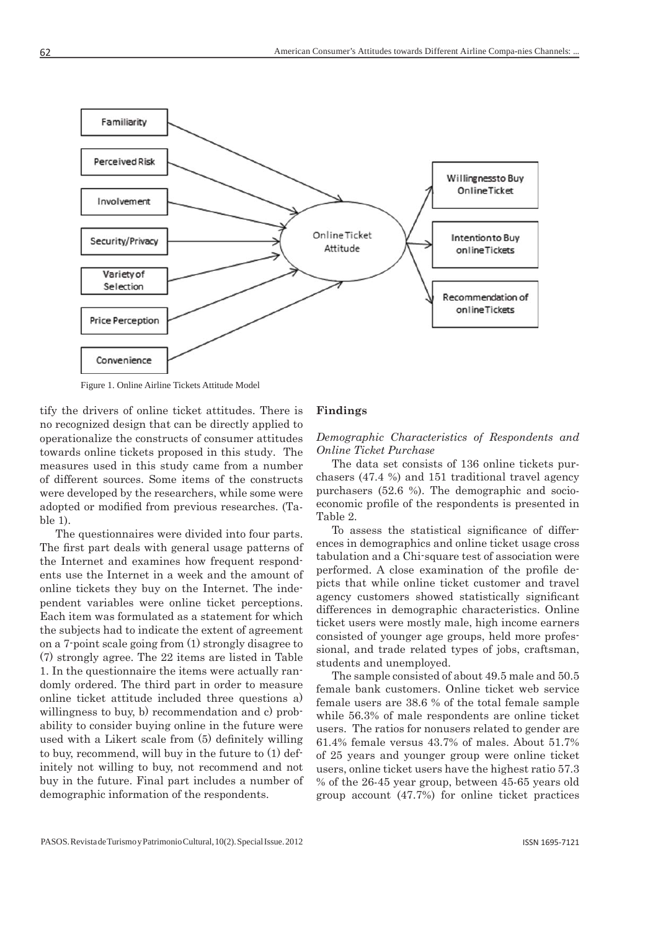

Figure 1. Online Airline Tickets Attitude Model

tify the drivers of online ticket attitudes. There is no recognized design that can be directly applied to operationalize the constructs of consumer attitudes towards online tickets proposed in this study. The measures used in this study came from a number of different sources. Some items of the constructs were developed by the researchers, while some were adopted or modified from previous researches. (Table 1).

The questionnaires were divided into four parts. The first part deals with general usage patterns of the Internet and examines how frequent respondents use the Internet in a week and the amount of online tickets they buy on the Internet. The independent variables were online ticket perceptions. Each item was formulated as a statement for which the subjects had to indicate the extent of agreement on a 7-point scale going from (1) strongly disagree to (7) strongly agree. The 22 items are listed in Table 1. In the questionnaire the items were actually randomly ordered. The third part in order to measure online ticket attitude included three questions a) willingness to buy, b) recommendation and c) probability to consider buying online in the future were used with a Likert scale from  $(5)$  definitely willing to buy, recommend, will buy in the future to (1) definitely not willing to buy, not recommend and not buy in the future. Final part includes a number of demographic information of the respondents.

### **Findings**

#### *Demographic Characteristics of Respondents and Online Ticket Purchase*

The data set consists of 136 online tickets purchasers (47.4 %) and 151 traditional travel agency purchasers (52.6 %). The demographic and socioeconomic profile of the respondents is presented in Table 2.

To assess the statistical significance of differences in demographics and online ticket usage cross tabulation and a Chi-square test of association were performed. A close examination of the profile depicts that while online ticket customer and travel agency customers showed statistically significant differences in demographic characteristics. Online ticket users were mostly male, high income earners consisted of younger age groups, held more professional, and trade related types of jobs, craftsman, students and unemployed.

The sample consisted of about 49.5 male and 50.5 female bank customers. Online ticket web service female users are 38.6 % of the total female sample while 56.3% of male respondents are online ticket users. The ratios for nonusers related to gender are 61.4% female versus 43.7% of males. About 51.7% of 25 years and younger group were online ticket users, online ticket users have the highest ratio 57.3 % of the 26-45 year group, between 45-65 years old group account (47.7%) for online ticket practices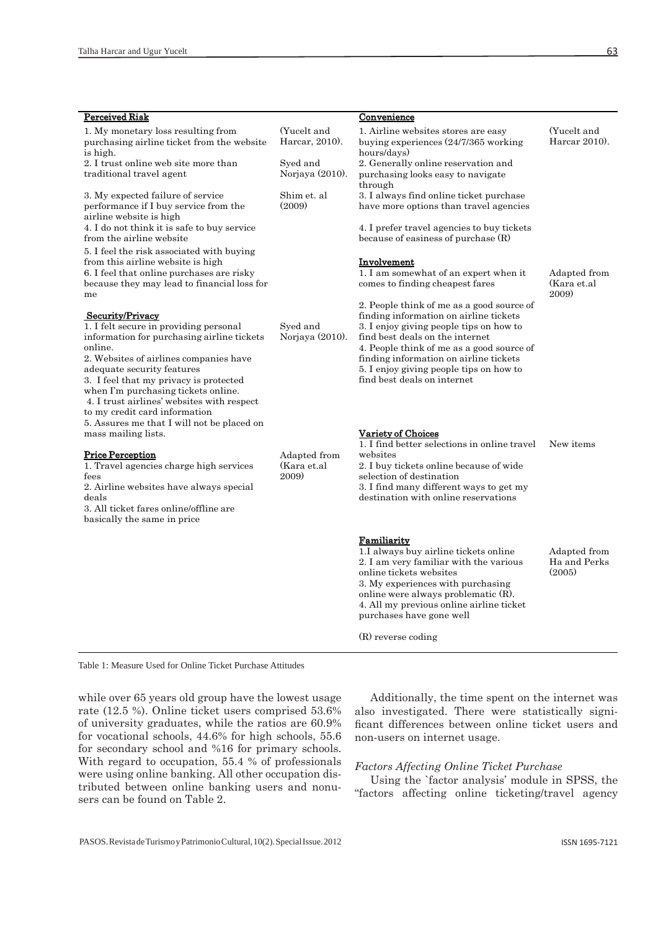| <b>Perceived Risk</b>                                                                                                                                                                                                                                                                                                                                       |                                      | <b>Convenience</b>                                                                                                                                                                                                                                                                                                                 |                                        |
|-------------------------------------------------------------------------------------------------------------------------------------------------------------------------------------------------------------------------------------------------------------------------------------------------------------------------------------------------------------|--------------------------------------|------------------------------------------------------------------------------------------------------------------------------------------------------------------------------------------------------------------------------------------------------------------------------------------------------------------------------------|----------------------------------------|
| 1. My monetary loss resulting from<br>purchasing airline ticket from the website<br>is high.                                                                                                                                                                                                                                                                | (Yucelt and<br>Harcar, 2010).        | 1. Airline websites stores are easy<br>buying experiences $(24/7/365$ working<br>hours/days)                                                                                                                                                                                                                                       | (Yucelt and<br>Harcar $2010$ .         |
| 2. I trust online web site more than<br>traditional travel agent                                                                                                                                                                                                                                                                                            | Syed and<br>Norjaya (2010).          | 2. Generally online reservation and<br>purchasing looks easy to navigate<br>through                                                                                                                                                                                                                                                |                                        |
| 3. My expected failure of service<br>performance if I buy service from the<br>airline website is high                                                                                                                                                                                                                                                       | Shim et. al<br>(2009)                | 3. I always find online ticket purchase<br>have more options than travel agencies                                                                                                                                                                                                                                                  |                                        |
| 4. I do not think it is safe to buy service<br>from the airline website                                                                                                                                                                                                                                                                                     |                                      | 4. I prefer travel agencies to buy tickets<br>because of easiness of purchase (R)                                                                                                                                                                                                                                                  |                                        |
| 5. I feel the risk associated with buying<br>from this airline website is high<br>6. I feel that online purchases are risky<br>because they may lead to financial loss for<br>me                                                                                                                                                                            |                                      | <b>Involvement</b><br>1. I am somewhat of an expert when it<br>comes to finding cheapest fares                                                                                                                                                                                                                                     | Adapted from<br>(Kara et.al<br>2009)   |
| Security/Privacy<br>1. I felt secure in providing personal<br>information for purchasing airline tickets<br>online.<br>2. Websites of airlines companies have<br>adequate security features<br>3. I feel that my privacy is protected<br>when I'm purchasing tickets online.<br>4. I trust airlines' websites with respect<br>to my credit card information | Syed and<br>Norjaya (2010).          | 2. People think of me as a good source of<br>finding information on airline tickets<br>3. I enjoy giving people tips on how to<br>find best deals on the internet<br>4. People think of me as a good source of<br>finding information on airline tickets<br>5. I enjoy giving people tips on how to<br>find best deals on internet |                                        |
| 5. Assures me that I will not be placed on<br>mass mailing lists.                                                                                                                                                                                                                                                                                           |                                      | Variety of Choices<br>1. I find better selections in online travel                                                                                                                                                                                                                                                                 | New items                              |
| <b>Price Perception</b><br>1. Travel agencies charge high services<br>fees<br>2. Airline websites have always special<br>deals<br>3. All ticket fares online/offline are<br>basically the same in price                                                                                                                                                     | Adapted from<br>(Kara et.al<br>2009) | websites<br>2. I buy tickets online because of wide<br>selection of destination<br>3. I find many different ways to get my<br>destination with online reservations                                                                                                                                                                 |                                        |
|                                                                                                                                                                                                                                                                                                                                                             |                                      | <b>Familiarity</b><br>1.I always buy airline tickets online<br>2. I am very familiar with the various<br>online tickets websites<br>3. My experiences with purchasing<br>online were always problematic (R).<br>4. All my previous online airline ticket<br>purchases have gone well                                               | Adapted from<br>Ha and Perks<br>(2005) |
|                                                                                                                                                                                                                                                                                                                                                             |                                      | (R) reverse coding                                                                                                                                                                                                                                                                                                                 |                                        |

Table 1: Measure Used for Online Ticket Purchase Attitudes

while over 65 years old group have the lowest usage rate (12.5 %). Online ticket users comprised 53.6% of university graduates, while the ratios are 60.9% for vocational schools, 44.6% for high schools, 55.6 for secondary school and %16 for primary schools. With regard to occupation, 55.4 % of professionals were using online banking. All other occupation distributed between online banking users and nonusers can be found on Table 2.

Additionally, the time spent on the internet was also investigated. There were statistically significant differences between online ticket users and non-users on internet usage.

#### *Factors Affecting Online Ticket Purchase*

Using the `factor analysis' module in SPSS, the "factors affecting online ticketing/travel agency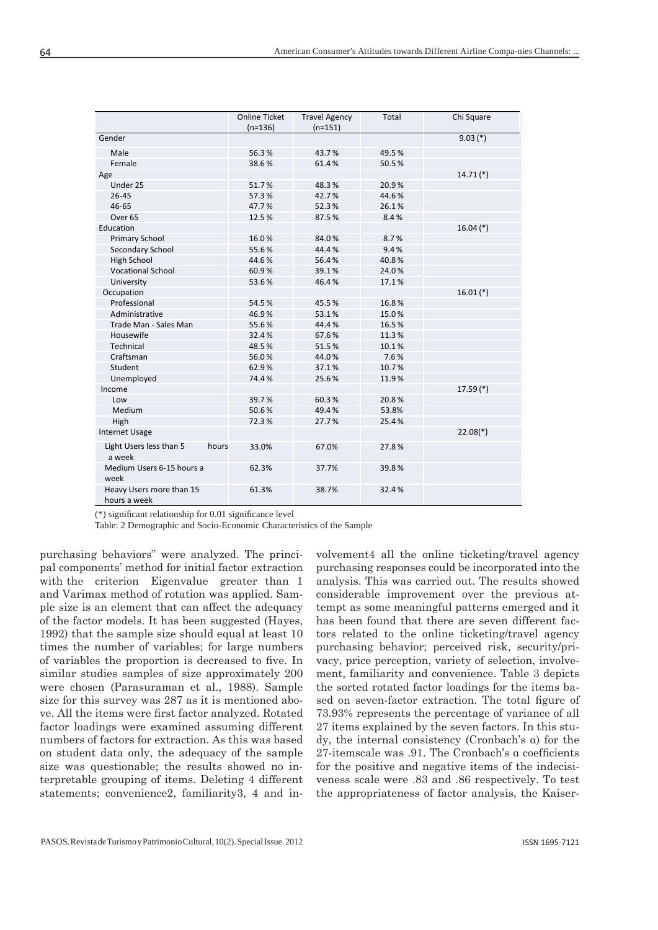|                                          | <b>Online Ticket</b> | <b>Travel Agency</b> | Total | Chi Square    |
|------------------------------------------|----------------------|----------------------|-------|---------------|
|                                          | $(n=136)$            | $(n=151)$            |       |               |
| Gender                                   |                      |                      |       | $9.03$ (*)    |
| Male                                     | 56.3%                | 43.7%                | 49.5% |               |
| Female                                   | 38.6%                | 61.4%                | 50.5% |               |
| Age                                      |                      |                      |       | $14.71$ $(*)$ |
| Under 25                                 | 51.7%                | 48.3%                | 20.9% |               |
| $26 - 45$                                | 57.3%                | 42.7%                | 44.6% |               |
| 46-65                                    | 47.7%                | 52.3%                | 26.1% |               |
| Over <sub>65</sub>                       | 12.5%                | 87.5%                | 8.4%  |               |
| Education                                |                      |                      |       | $16.04$ (*)   |
| <b>Primary School</b>                    | 16.0%                | 84.0%                | 8.7%  |               |
| Secondary School                         | 55.6%                | 44.4%                | 9.4%  |               |
| High School                              | 44.6%                | 56.4%                | 40.8% |               |
| <b>Vocational School</b>                 | 60.9%                | 39.1%                | 24.0% |               |
| University                               | 53.6%                | 46.4%                | 17.1% |               |
| Occupation                               |                      |                      |       | $16.01$ (*)   |
| Professional                             | 54.5%                | 45.5%                | 16.8% |               |
| Administrative                           | 46.9%                | 53.1%                | 15.0% |               |
| Trade Man - Sales Man                    | 55.6%                | 44.4%                | 16.5% |               |
| Housewife                                | 32.4%                | 67.6%                | 11.3% |               |
| Technical                                | 48.5%                | 51.5%                | 10.1% |               |
| Craftsman                                | 56.0%                | 44.0%                | 7.6%  |               |
| Student                                  | 62.9%                | 37.1%                | 10.7% |               |
| Unemployed                               | 74.4%                | 25.6%                | 11.9% |               |
| Income                                   |                      |                      |       | $17.59$ (*)   |
| Low                                      | 39.7%                | 60.3%                | 20.8% |               |
| Medium                                   | 50.6%                | 49.4%                | 53.8% |               |
| High                                     | 72.3%                | 27.7%                | 25.4% |               |
| <b>Internet Usage</b>                    |                      |                      |       | $22.08(*)$    |
| Light Users less than 5<br>a week        | hours<br>33.0%       | 67.0%                | 27.8% |               |
| Medium Users 6-15 hours a<br>week        | 62.3%                | 37.7%                | 39.8% |               |
| Heavy Users more than 15<br>hours a week | 61.3%                | 38.7%                | 32.4% |               |

( $*$ ) significant relationship for 0.01 significance level

Table: 2 Demographic and Socio-Economic Characteristics of the Sample

purchasing behaviors" were analyzed. The principal components' method for initial factor extraction with the criterion Eigenvalue greater than 1 and Varimax method of rotation was applied. Sample size is an element that can affect the adequacy of the factor models. It has been suggested (Hayes, 1992) that the sample size should equal at least 10 times the number of variables; for large numbers of variables the proportion is decreased to five. In similar studies samples of size approximately 200 were chosen (Parasuraman et al., 1988). Sample size for this survey was 287 as it is mentioned above. All the items were first factor analyzed. Rotated factor loadings were examined assuming different numbers of factors for extraction. As this was based on student data only, the adequacy of the sample size was questionable; the results showed no interpretable grouping of items. Deleting 4 different statements; convenience2, familiarity3, 4 and involvement4 all the online ticketing/travel agency purchasing responses could be incorporated into the analysis. This was carried out. The results showed considerable improvement over the previous attempt as some meaningful patterns emerged and it has been found that there are seven different factors related to the online ticketing/travel agency purchasing behavior; perceived risk, security/privacy, price perception, variety of selection, involvement, familiarity and convenience. Table 3 depicts the sorted rotated factor loadings for the items based on seven-factor extraction. The total figure of 73.93% represents the percentage of variance of all 27 items explained by the seven factors. In this study, the internal consistency (Cronbach's α) for the 27-itemscale was .91. The Cronbach's α coefficients for the positive and negative items of the indecisiveness scale were .83 and .86 respectively. To test the appropriateness of factor analysis, the Kaiser-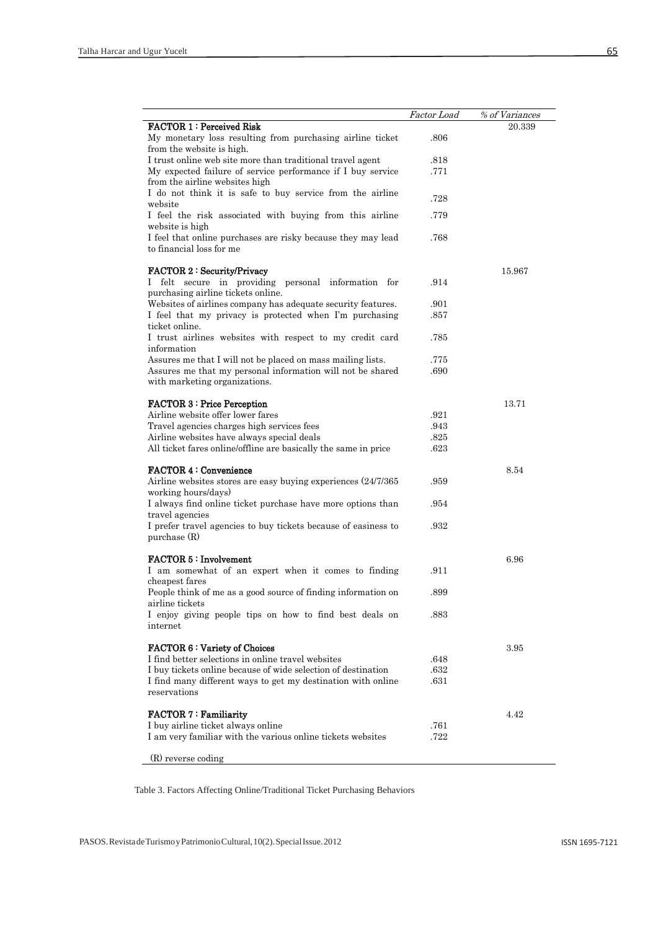|                                                                                | Factor Load | % of Variances |
|--------------------------------------------------------------------------------|-------------|----------------|
| <b>FACTOR 1: Perceived Risk</b>                                                |             | 20.339         |
| My monetary loss resulting from purchasing airline ticket                      | .806        |                |
| from the website is high.                                                      |             |                |
| I trust online web site more than traditional travel agent                     | .818        |                |
| My expected failure of service performance if I buy service                    | .771        |                |
| from the airline websites high                                                 |             |                |
| I do not think it is safe to buy service from the airline                      | .728        |                |
| website                                                                        |             |                |
| I feel the risk associated with buying from this airline                       | .779        |                |
| website is high                                                                |             |                |
| I feel that online purchases are risky because they may lead                   | .768        |                |
| to financial loss for me                                                       |             |                |
|                                                                                |             |                |
| <b>FACTOR 2: Security/Privacy</b>                                              |             | 15.967         |
| felt secure in providing personal information for<br>$\mathbf{I}$              | .914        |                |
| purchasing airline tickets online.                                             |             |                |
| Websites of airlines company has adequate security features.                   | .901        |                |
| I feel that my privacy is protected when I'm purchasing                        | .857        |                |
| ticket online.                                                                 |             |                |
| I trust airlines websites with respect to my credit card                       | .785        |                |
| information                                                                    |             |                |
| Assures me that I will not be placed on mass mailing lists.                    | .775        |                |
| Assures me that my personal information will not be shared                     | .690        |                |
| with marketing organizations.                                                  |             |                |
|                                                                                |             |                |
| <b>FACTOR 3: Price Perception</b>                                              |             | 13.71          |
| Airline website offer lower fares                                              | .921        |                |
| Travel agencies charges high services fees                                     | .943        |                |
| Airline websites have always special deals                                     | .825        |                |
| All ticket fares online/offline are basically the same in price                | .623        |                |
|                                                                                |             |                |
| <b>FACTOR 4: Convenience</b>                                                   |             | 8.54           |
| Airline websites stores are easy buying experiences (24/7/365)                 | .959        |                |
| working hours/days)                                                            | .954        |                |
| I always find online ticket purchase have more options than<br>travel agencies |             |                |
| I prefer travel agencies to buy tickets because of easiness to                 | .932        |                |
| purchase $(R)$                                                                 |             |                |
|                                                                                |             |                |
| <b>FACTOR 5: Involvement</b>                                                   |             | 6.96           |
| I am somewhat of an expert when it comes to finding                            | .911        |                |
| cheapest fares                                                                 |             |                |
| People think of me as a good source of finding information on                  | .899        |                |
| airline tickets                                                                |             |                |
| I enjoy giving people tips on how to find best deals on                        | .883        |                |
| internet                                                                       |             |                |
|                                                                                |             |                |
| <b>FACTOR 6: Variety of Choices</b>                                            |             | 3.95           |
| I find better selections in online travel websites                             | .648        |                |
| I buy tickets online because of wide selection of destination                  | .632        |                |
| I find many different ways to get my destination with online                   | .631        |                |
| reservations                                                                   |             |                |
|                                                                                |             |                |
| <b>FACTOR 7: Familiarity</b>                                                   |             | 4.42           |
| I buy airline ticket always online                                             | .761        |                |
| I am very familiar with the various online tickets websites                    | .722        |                |
|                                                                                |             |                |
| (R) reverse coding                                                             |             |                |

Table 3. Factors Affecting Online/Traditional Ticket Purchasing Behaviors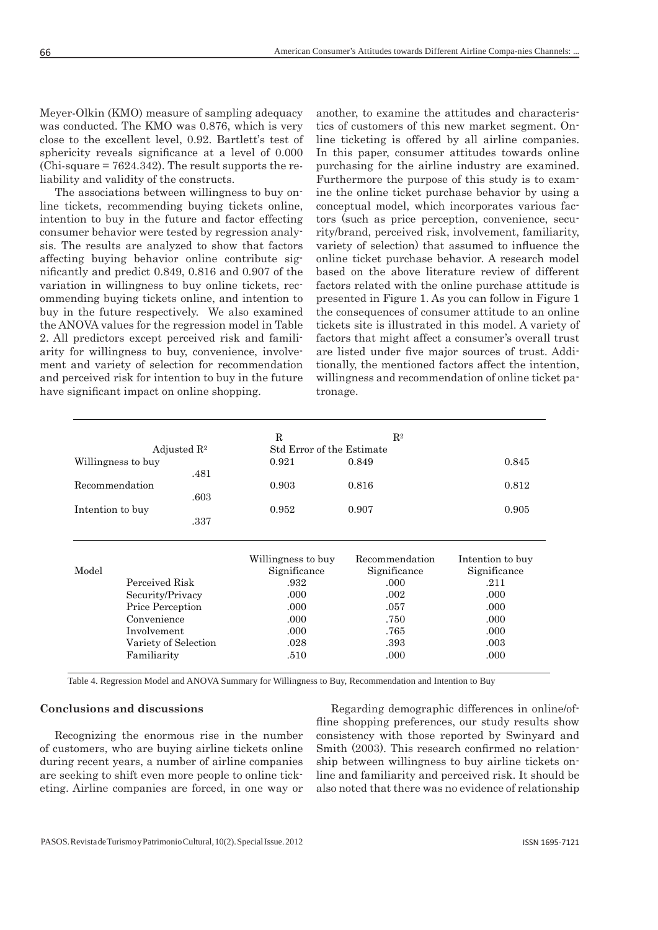Meyer-Olkin (KMO) measure of sampling adequacy was conducted. The KMO was 0.876, which is very close to the excellent level, 0.92. Bartlett's test of sphericity reveals significance at a level of 0.000  $(Chi-square = 7624.342)$ . The result supports the reliability and validity of the constructs.

The associations between willingness to buy online tickets, recommending buying tickets online, intention to buy in the future and factor effecting consumer behavior were tested by regression analysis. The results are analyzed to show that factors affecting buying behavior online contribute significantly and predict 0.849, 0.816 and 0.907 of the variation in willingness to buy online tickets, recommending buying tickets online, and intention to buy in the future respectively. We also examined the ANOVA values for the regression model in Table 2. All predictors except perceived risk and familiarity for willingness to buy, convenience, involvement and variety of selection for recommendation and perceived risk for intention to buy in the future have significant impact on online shopping.

another, to examine the attitudes and characteristics of customers of this new market segment. Online ticketing is offered by all airline companies. In this paper, consumer attitudes towards online purchasing for the airline industry are examined. Furthermore the purpose of this study is to examine the online ticket purchase behavior by using a conceptual model, which incorporates various factors (such as price perception, convenience, security/brand, perceived risk, involvement, familiarity, variety of selection) that assumed to influence the online ticket purchase behavior. A research model based on the above literature review of different factors related with the online purchase attitude is presented in Figure 1. As you can follow in Figure 1 the consequences of consumer attitude to an online tickets site is illustrated in this model. A variety of factors that might affect a consumer's overall trust are listed under five major sources of trust. Additionally, the mentioned factors affect the intention, willingness and recommendation of online ticket patronage.

|                    |                                             | R                         | $R^2$          |                      |
|--------------------|---------------------------------------------|---------------------------|----------------|----------------------|
|                    | Adjusted $\mathbb{R}^2$                     | Std Error of the Estimate |                |                      |
| Willingness to buy |                                             | 0.921                     | 0.849          | 0.845                |
|                    | .481                                        |                           |                |                      |
| Recommendation     |                                             | 0.903                     | 0.816          | 0.812                |
|                    | .603                                        |                           |                |                      |
| Intention to buy   |                                             | 0.952                     | 0.907          | 0.905                |
|                    | .337                                        |                           |                |                      |
|                    |                                             |                           |                |                      |
|                    |                                             | Willingness to buy        | Recommendation |                      |
|                    |                                             |                           |                | Intention to buy     |
| Model              | Perceived Risk                              | Significance              | Significance   | Significance<br>.211 |
|                    |                                             | .932<br>.000              | .000<br>.002   | .000                 |
|                    | Security/Privacy<br><b>Price Perception</b> | .000                      | .057           | .000.                |
|                    | Convenience                                 | .000                      | .750           | .000                 |
|                    | Involvement                                 | .000                      | .765           | .000                 |
|                    | Variety of Selection                        | .028                      | .393           | .003                 |

Table 4. Regression Model and ANOVA Summary for Willingness to Buy, Recommendation and Intention to Buy

#### **Conclusions and discussions**

Recognizing the enormous rise in the number of customers, who are buying airline tickets online during recent years, a number of airline companies are seeking to shift even more people to online ticketing. Airline companies are forced, in one way or

Regarding demographic differences in online/offline shopping preferences, our study results show consistency with those reported by Swinyard and Smith (2003). This research confirmed no relationship between willingness to buy airline tickets online and familiarity and perceived risk. It should be also noted that there was no evidence of relationship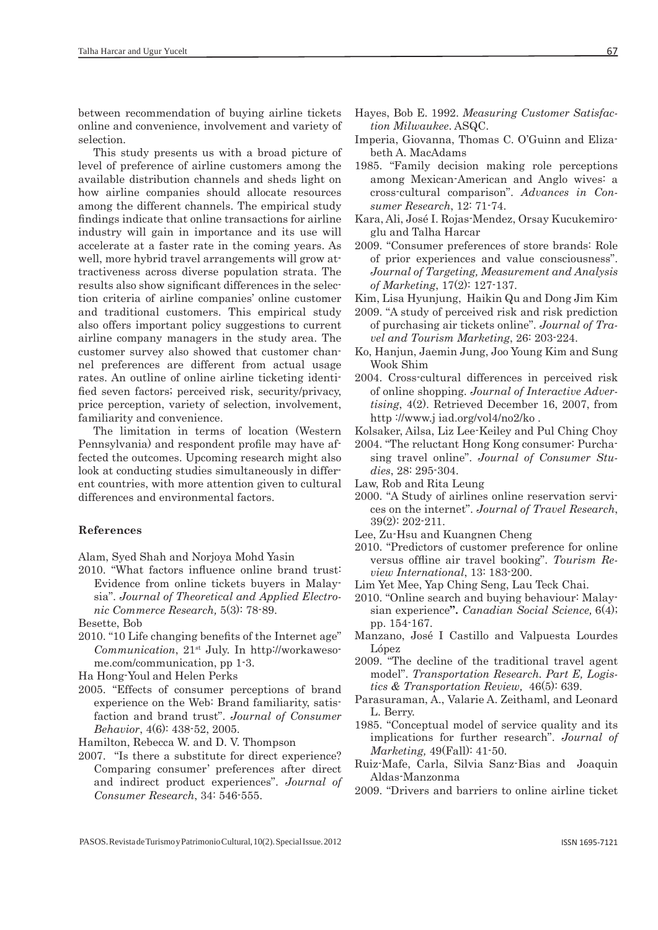between recommendation of buying airline tickets online and convenience, involvement and variety of selection.

This study presents us with a broad picture of level of preference of airline customers among the available distribution channels and sheds light on how airline companies should allocate resources among the different channels. The empirical study findings indicate that online transactions for airline industry will gain in importance and its use will accelerate at a faster rate in the coming years. As well, more hybrid travel arrangements will grow attractiveness across diverse population strata. The results also show significant differences in the selection criteria of airline companies' online customer and traditional customers. This empirical study also offers important policy suggestions to current airline company managers in the study area. The customer survey also showed that customer channel preferences are different from actual usage rates. An outline of online airline ticketing identified seven factors; perceived risk, security/privacy, price perception, variety of selection, involvement, familiarity and convenience.

The limitation in terms of location (Western Pennsylvania) and respondent profile may have affected the outcomes. Upcoming research might also look at conducting studies simultaneously in different countries, with more attention given to cultural differences and environmental factors.

#### **References**

Alam, Syed Shah and Norjoya Mohd Yasin

2010. "What factors influence online brand trust: Evidence from online tickets buyers in Malaysia". *Journal of Theoretical and Applied Electronic Commerce Research,* 5(3): 78-89.

Besette, Bob

2010. "10 Life changing benefits of the Internet age" *Communication*, 21st July. In http://workawesome.com/communication, pp 1-3.

Ha Hong-Youl and Helen Perks

2005. "Effects of consumer perceptions of brand experience on the Web: Brand familiarity, satisfaction and brand trust". *Journal of Consumer Behavior*, 4(6): 438-52, 2005.

Hamilton, Rebecca W. and D. V. Thompson

2007. "Is there a substitute for direct experience? Comparing consumer' preferences after direct and indirect product experiences". *Journal of Consumer Research*, 34: 546-555.

- Hayes, Bob E. 1992. *Measuring Customer Satisfaction Milwaukee*. ASQC.
- Imperia, Giovanna, Thomas C. O'Guinn and Elizabeth A. MacAdams
- 1985. "Family decision making role perceptions among Mexican-American and Anglo wives: a cross-cultural comparison". *Advances in Consumer Research*, 12: 71-74.
- Kara, Ali, José I. Rojas-Mendez, Orsay Kucukemiroglu and Talha Harcar
- 2009. "Consumer preferences of store brands: Role of prior experiences and value consciousness". *Journal of Targeting, Measurement and Analysis of Marketing*, 17(2): 127-137.
- Kim, Lisa Hyunjung, Haikin Qu and Dong Jim Kim
- 2009. "A study of perceived risk and risk prediction of purchasing air tickets online". *Journal of Travel and Tourism Marketing*, 26: 203-224.
- Ko, Hanjun, Jaemin Jung, Joo Young Kim and Sung Wook Shim
- 2004. Cross-cultural differences in perceived risk of online shopping. *Journal of Interactive Advertising*, 4(2). Retrieved December 16, 2007, from http ://www.j iad.org/vol4/no2/ko .
- Kolsaker, Ailsa, Liz Lee-Keiley and Pul Ching Choy
- 2004. "The reluctant Hong Kong consumer: Purchasing travel online". *Journal of Consumer Studies*, 28: 295-304.
- Law, Rob and Rita Leung
- 2000. "A Study of airlines online reservation services on the internet". *Journal of Travel Research*, 39(2): 202-211.
- Lee, Zu-Hsu and Kuangnen Cheng
- 2010. "Predictors of customer preference for online versus offline air travel booking". *Tourism Review International*, 13: 183-200.
- Lim Yet Mee, Yap Ching Seng, Lau Teck Chai.
- 2010. "Online search and buying behaviour: Malaysian experience**".** *Canadian Social Science,* 6(4); pp. 154-167.
- Manzano, José I Castillo and Valpuesta Lourdes López
- 2009. "The decline of the traditional travel agent model". *Transportation Research. Part E, Logistics & Transportation Review,* 46(5): 639.
- Parasuraman, A., Valarie A. Zeithaml, and Leonard L. Berry.
- 1985. "Conceptual model of service quality and its implications for further research". *Journal of Marketing,* 49(Fall): 41-50.
- Ruiz-Mafe, Carla, Silvia Sanz-Bias and Joaquin Aldas-Manzonma
- 2009. "Drivers and barriers to online airline ticket